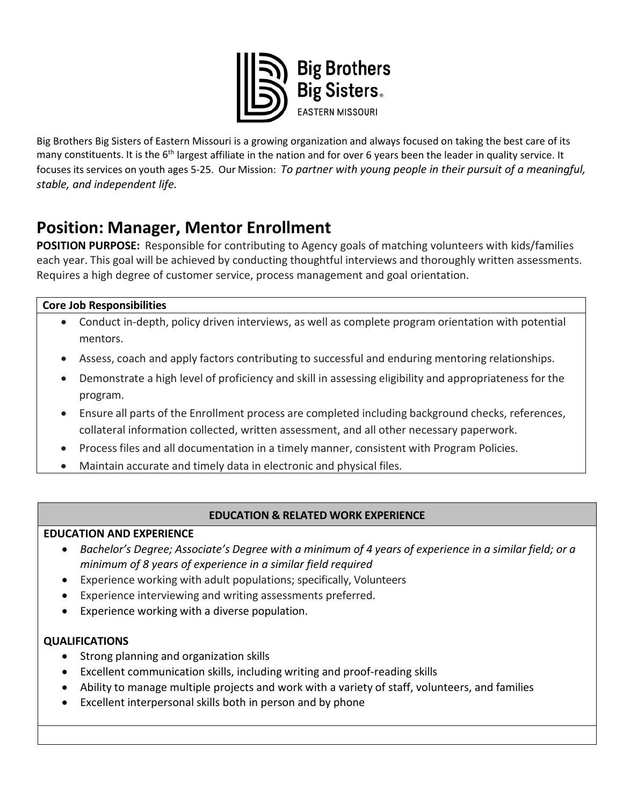

Big Brothers Big Sisters of Eastern Missouri is a growing organization and always focused on taking the best care of its many constituents. It is the 6<sup>th</sup> largest affiliate in the nation and for over 6 years been the leader in quality service. It focuses its services on youth ages 5-25. Our Mission: *To partner with young people in their pursuit of a meaningful, stable, and independent life.* 

# **Position: Manager, Mentor Enrollment**

**POSITION PURPOSE:** Responsible for contributing to Agency goals of matching volunteers with kids/families each year. This goal will be achieved by conducting thoughtful interviews and thoroughly written assessments. Requires a high degree of customer service, process management and goal orientation.

# **Core Job Responsibilities**

- Conduct in-depth, policy driven interviews, as well as complete program orientation with potential mentors.
- Assess, coach and apply factors contributing to successful and enduring mentoring relationships.
- Demonstrate a high level of proficiency and skill in assessing eligibility and appropriateness for the program.
- Ensure all parts of the Enrollment process are completed including background checks, references, collateral information collected, written assessment, and all other necessary paperwork.
- Process files and all documentation in a timely manner, consistent with Program Policies.
- Maintain accurate and timely data in electronic and physical files.

# **EDUCATION & RELATED WORK EXPERIENCE**

## **EDUCATION AND EXPERIENCE**

- *Bachelor's Degree; Associate's Degree with a minimum of 4 years of experience in a similar field; or a minimum of 8 years of experience in a similar field required*
- Experience working with adult populations; specifically, Volunteers
- Experience interviewing and writing assessments preferred.
- Experience working with a diverse population.

# **QUALIFICATIONS**

- Strong planning and organization skills
- Excellent communication skills, including writing and proof-reading skills
- Ability to manage multiple projects and work with a variety of staff, volunteers, and families
- Excellent interpersonal skills both in person and by phone